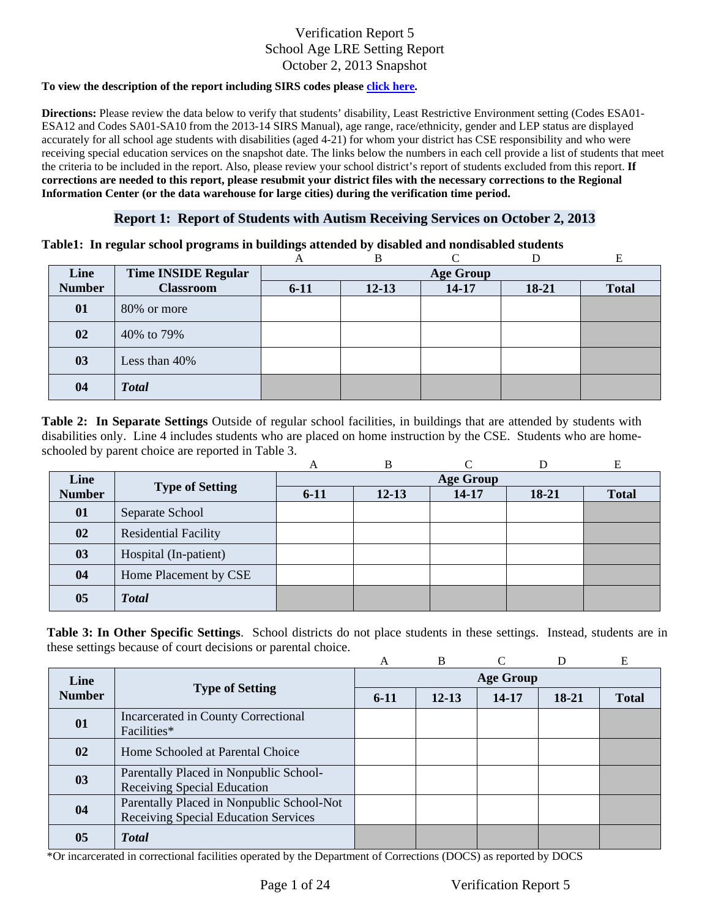#### **To view the description of the report including SIRS codes please click here.**

**Directions:** Please review the data below to verify that students' disability, Least Restrictive Environment setting (Codes ESA01- ESA12 and Codes SA01-SA10 from the 2013-14 SIRS Manual), age range, race/ethnicity, gender and LEP status are displayed accurately for all school age students with disabilities (aged 4-21) for whom your district has CSE responsibility and who were receiving special education services on the snapshot date. The links below the numbers in each cell provide a list of students that meet the criteria to be included in the report. Also, please review your school district's report of students excluded from this report. **If corrections are needed to this report, please resubmit your district files with the necessary corrections to the Regional Information Center (or the data warehouse for large cities) during the verification time period.**

### **Report 1: Report of Students with Autism Receiving Services on October 2, 2013**

#### **Table1: In regular school programs in buildings attended by disabled and nondisabled students**

|               |                            | A                | B         |           |       |              |  |  |
|---------------|----------------------------|------------------|-----------|-----------|-------|--------------|--|--|
| Line          | <b>Time INSIDE Regular</b> | <b>Age Group</b> |           |           |       |              |  |  |
| <b>Number</b> | <b>Classroom</b>           | $6 - 11$         | $12 - 13$ | $14 - 17$ | 18-21 | <b>Total</b> |  |  |
| 01            | 80% or more                |                  |           |           |       |              |  |  |
| 02            | 40% to 79%                 |                  |           |           |       |              |  |  |
| 03            | Less than 40%              |                  |           |           |       |              |  |  |
| 04            | <b>Total</b>               |                  |           |           |       |              |  |  |

**Table 2: In Separate Settings** Outside of regular school facilities, in buildings that are attended by students with disabilities only. Line 4 includes students who are placed on home instruction by the CSE. Students who are homeschooled by parent choice are reported in Table 3.

|               |                             | A                | B         | $\sqrt{ }$ |       | E            |  |  |
|---------------|-----------------------------|------------------|-----------|------------|-------|--------------|--|--|
| Line          |                             | <b>Age Group</b> |           |            |       |              |  |  |
| <b>Number</b> | <b>Type of Setting</b>      | $6 - 11$         | $12 - 13$ | 14-17      | 18-21 | <b>Total</b> |  |  |
| 01            | Separate School             |                  |           |            |       |              |  |  |
| 02            | <b>Residential Facility</b> |                  |           |            |       |              |  |  |
| 03            | Hospital (In-patient)       |                  |           |            |       |              |  |  |
| 04            | Home Placement by CSE       |                  |           |            |       |              |  |  |
| 05            | <b>Total</b>                |                  |           |            |       |              |  |  |

**Table 3: In Other Specific Settings**. School districts do not place students in these settings. Instead, students are in these settings because of court decisions or parental choice.

|                |                                           | A                | B         |       |       | E            |  |  |
|----------------|-------------------------------------------|------------------|-----------|-------|-------|--------------|--|--|
| Line           | <b>Type of Setting</b>                    | <b>Age Group</b> |           |       |       |              |  |  |
| <b>Number</b>  |                                           | $6-11$           | $12 - 13$ | 14-17 | 18-21 | <b>Total</b> |  |  |
| 01             | Incarcerated in County Correctional       |                  |           |       |       |              |  |  |
|                | Facilities*                               |                  |           |       |       |              |  |  |
| 02             | Home Schooled at Parental Choice          |                  |           |       |       |              |  |  |
|                | Parentally Placed in Nonpublic School-    |                  |           |       |       |              |  |  |
| 03             | Receiving Special Education               |                  |           |       |       |              |  |  |
|                | Parentally Placed in Nonpublic School-Not |                  |           |       |       |              |  |  |
| 04             | Receiving Special Education Services      |                  |           |       |       |              |  |  |
| 0 <sub>5</sub> | <b>T</b> otal                             |                  |           |       |       |              |  |  |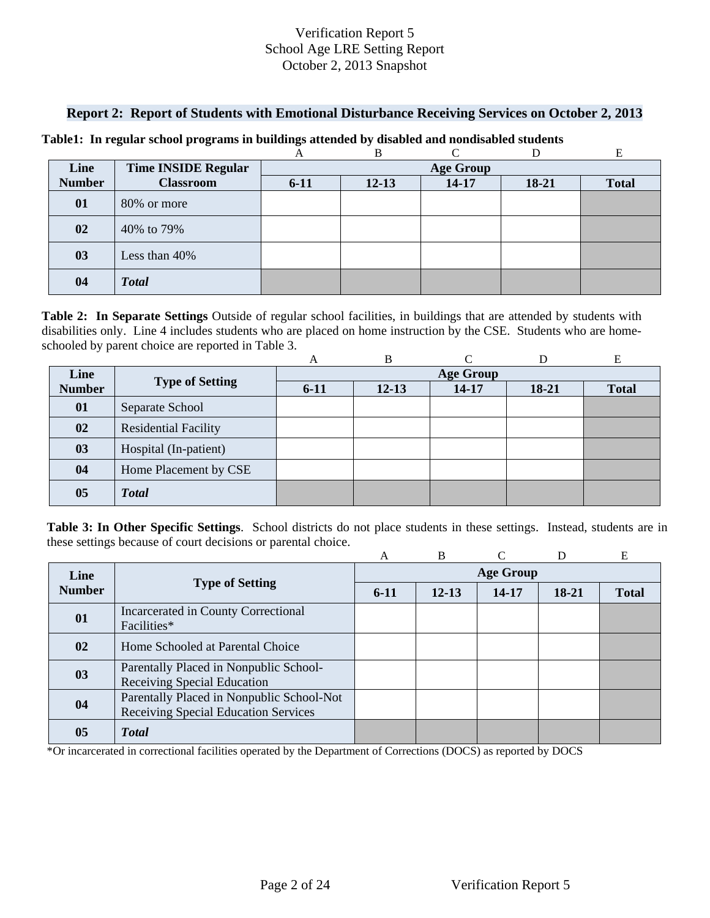### **Report 2: Report of Students with Emotional Disturbance Receiving Services on October 2, 2013**

|               |                            |                  | B         |           |       | E            |  |  |
|---------------|----------------------------|------------------|-----------|-----------|-------|--------------|--|--|
| Line          | <b>Time INSIDE Regular</b> | <b>Age Group</b> |           |           |       |              |  |  |
| <b>Number</b> | <b>Classroom</b>           | $6 - 11$         | $12 - 13$ | $14 - 17$ | 18-21 | <b>Total</b> |  |  |
| 01            | 80% or more                |                  |           |           |       |              |  |  |
| 02            | 40% to 79%                 |                  |           |           |       |              |  |  |
| 03            | Less than 40%              |                  |           |           |       |              |  |  |
| 04            | <b>Total</b>               |                  |           |           |       |              |  |  |

#### **Table1: In regular school programs in buildings attended by disabled and nondisabled students**

**Table 2: In Separate Settings** Outside of regular school facilities, in buildings that are attended by students with disabilities only. Line 4 includes students who are placed on home instruction by the CSE. Students who are homeschooled by parent choice are reported in Table 3.

|               |                             | A                | B         |       |       | Е            |  |  |
|---------------|-----------------------------|------------------|-----------|-------|-------|--------------|--|--|
| Line          | <b>Type of Setting</b>      | <b>Age Group</b> |           |       |       |              |  |  |
| <b>Number</b> |                             | $6 - 11$         | $12 - 13$ | 14-17 | 18-21 | <b>Total</b> |  |  |
| 01            | Separate School             |                  |           |       |       |              |  |  |
| 02            | <b>Residential Facility</b> |                  |           |       |       |              |  |  |
| 03            | Hospital (In-patient)       |                  |           |       |       |              |  |  |
| 04            | Home Placement by CSE       |                  |           |       |       |              |  |  |
| 05            | <b>Total</b>                |                  |           |       |       |              |  |  |

**Table 3: In Other Specific Settings**. School districts do not place students in these settings. Instead, students are in these settings because of court decisions or parental choice.

|                |                                                                                   | A                | B         |           | D       | E            |  |  |
|----------------|-----------------------------------------------------------------------------------|------------------|-----------|-----------|---------|--------------|--|--|
| Line           |                                                                                   | <b>Age Group</b> |           |           |         |              |  |  |
| <b>Number</b>  | <b>Type of Setting</b>                                                            | $6-11$           | $12 - 13$ | $14 - 17$ | $18-21$ | <b>Total</b> |  |  |
| 01             | Incarcerated in County Correctional<br>Facilities*                                |                  |           |           |         |              |  |  |
| 02             | Home Schooled at Parental Choice                                                  |                  |           |           |         |              |  |  |
| 03             | Parentally Placed in Nonpublic School-<br>Receiving Special Education             |                  |           |           |         |              |  |  |
| 04             | Parentally Placed in Nonpublic School-Not<br>Receiving Special Education Services |                  |           |           |         |              |  |  |
| 0 <sub>5</sub> | <b>Total</b>                                                                      |                  |           |           |         |              |  |  |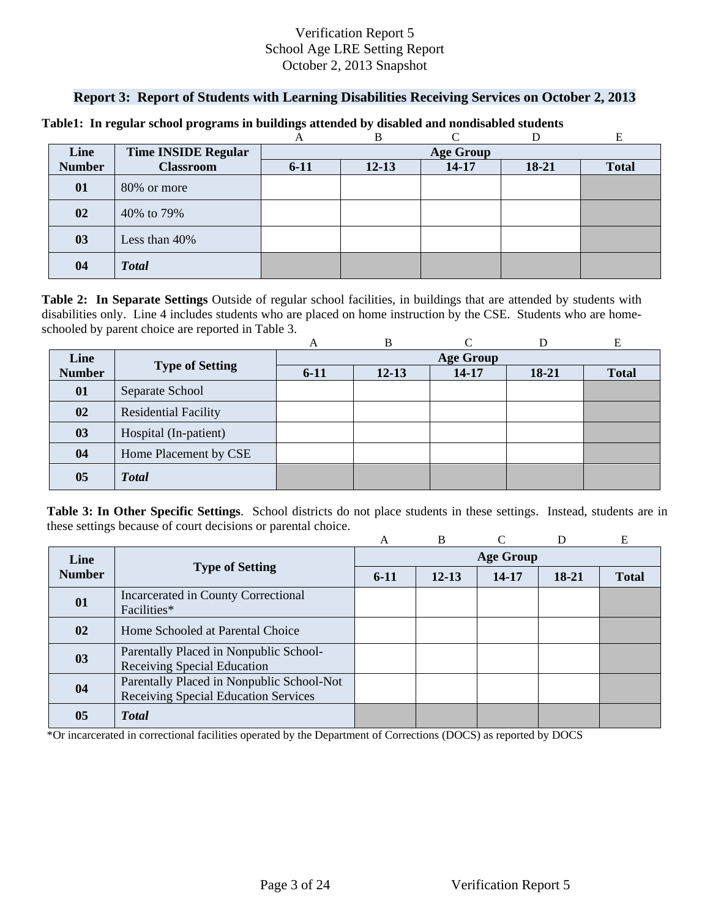### **Report 3: Report of Students with Learning Disabilities Receiving Services on October 2, 2013**

|               |                            |                  | B         | ⌒         |         |              |  |  |
|---------------|----------------------------|------------------|-----------|-----------|---------|--------------|--|--|
| Line          | <b>Time INSIDE Regular</b> | <b>Age Group</b> |           |           |         |              |  |  |
| <b>Number</b> | <b>Classroom</b>           | $6 - 11$         | $12 - 13$ | $14 - 17$ | $18-21$ | <b>Total</b> |  |  |
| 01            | 80% or more                |                  |           |           |         |              |  |  |
| 02            | 40% to 79%                 |                  |           |           |         |              |  |  |
| 03            | Less than 40%              |                  |           |           |         |              |  |  |
| 04            | <b>Total</b>               |                  |           |           |         |              |  |  |

#### **Table1: In regular school programs in buildings attended by disabled and nondisabled students**

**Table 2: In Separate Settings** Outside of regular school facilities, in buildings that are attended by students with disabilities only. Line 4 includes students who are placed on home instruction by the CSE. Students who are homeschooled by parent choice are reported in Table 3.

|               |                             | A                | B         |       |         | Е            |  |  |
|---------------|-----------------------------|------------------|-----------|-------|---------|--------------|--|--|
| Line          |                             | <b>Age Group</b> |           |       |         |              |  |  |
| <b>Number</b> | <b>Type of Setting</b>      | $6 - 11$         | $12 - 13$ | 14-17 | $18-21$ | <b>Total</b> |  |  |
| 01            | Separate School             |                  |           |       |         |              |  |  |
| 02            | <b>Residential Facility</b> |                  |           |       |         |              |  |  |
| 03            | Hospital (In-patient)       |                  |           |       |         |              |  |  |
| 04            | Home Placement by CSE       |                  |           |       |         |              |  |  |
| 05            | <b>Total</b>                |                  |           |       |         |              |  |  |

**Table 3: In Other Specific Settings**. School districts do not place students in these settings. Instead, students are in these settings because of court decisions or parental choice.

|               |                                                                                   | А                | <sub>B</sub> |       | D     | E            |  |  |
|---------------|-----------------------------------------------------------------------------------|------------------|--------------|-------|-------|--------------|--|--|
| Line          | <b>Type of Setting</b>                                                            | <b>Age Group</b> |              |       |       |              |  |  |
| <b>Number</b> |                                                                                   | $6-11$           | $12 - 13$    | 14-17 | 18-21 | <b>Total</b> |  |  |
| 01            | Incarcerated in County Correctional<br>Facilities*                                |                  |              |       |       |              |  |  |
| 02            | Home Schooled at Parental Choice                                                  |                  |              |       |       |              |  |  |
| 03            | Parentally Placed in Nonpublic School-<br>Receiving Special Education             |                  |              |       |       |              |  |  |
| 04            | Parentally Placed in Nonpublic School-Not<br>Receiving Special Education Services |                  |              |       |       |              |  |  |
| 05            | <b>T</b> otal                                                                     |                  |              |       |       |              |  |  |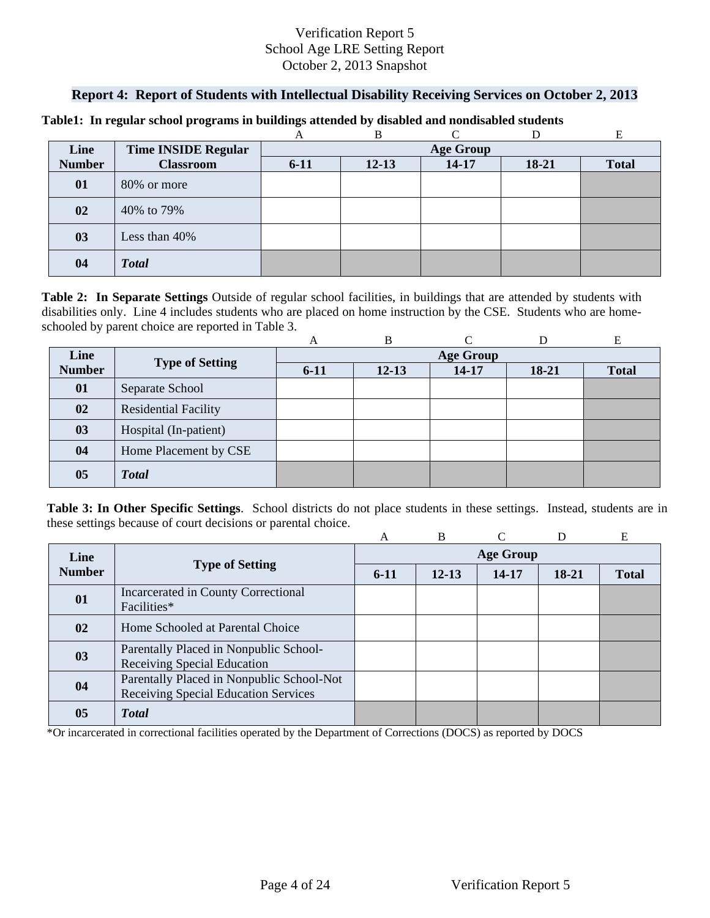### **Report 4: Report of Students with Intellectual Disability Receiving Services on October 2, 2013**

|               |                            |          | B                |           |       |              |  |  |  |
|---------------|----------------------------|----------|------------------|-----------|-------|--------------|--|--|--|
| Line          | <b>Time INSIDE Regular</b> |          | <b>Age Group</b> |           |       |              |  |  |  |
| <b>Number</b> | <b>Classroom</b>           | $6 - 11$ | $12 - 13$        | $14 - 17$ | 18-21 | <b>Total</b> |  |  |  |
| 01            | 80% or more                |          |                  |           |       |              |  |  |  |
| 02            | 40% to 79%                 |          |                  |           |       |              |  |  |  |
| 03            | Less than 40%              |          |                  |           |       |              |  |  |  |
| 04            | <b>Total</b>               |          |                  |           |       |              |  |  |  |

#### **Table1: In regular school programs in buildings attended by disabled and nondisabled students**

**Table 2: In Separate Settings** Outside of regular school facilities, in buildings that are attended by students with disabilities only. Line 4 includes students who are placed on home instruction by the CSE. Students who are homeschooled by parent choice are reported in Table 3.

|               |                             | A                | B         |       |         | Е            |  |  |
|---------------|-----------------------------|------------------|-----------|-------|---------|--------------|--|--|
| Line          | <b>Type of Setting</b>      | <b>Age Group</b> |           |       |         |              |  |  |
| <b>Number</b> |                             | $6 - 11$         | $12 - 13$ | 14-17 | $18-21$ | <b>Total</b> |  |  |
| 01            | Separate School             |                  |           |       |         |              |  |  |
| 02            | <b>Residential Facility</b> |                  |           |       |         |              |  |  |
| 03            | Hospital (In-patient)       |                  |           |       |         |              |  |  |
| 04            | Home Placement by CSE       |                  |           |       |         |              |  |  |
| 05            | <b>Total</b>                |                  |           |       |         |              |  |  |

**Table 3: In Other Specific Settings**. School districts do not place students in these settings. Instead, students are in these settings because of court decisions or parental choice.

|               |                                                                                   | A                | B         |       | D       | E            |  |  |
|---------------|-----------------------------------------------------------------------------------|------------------|-----------|-------|---------|--------------|--|--|
| Line          |                                                                                   | <b>Age Group</b> |           |       |         |              |  |  |
| <b>Number</b> | <b>Type of Setting</b>                                                            | $6-11$           | $12 - 13$ | 14-17 | $18-21$ | <b>Total</b> |  |  |
| 01            | Incarcerated in County Correctional<br>Facilities*                                |                  |           |       |         |              |  |  |
| 02            | Home Schooled at Parental Choice                                                  |                  |           |       |         |              |  |  |
| 03            | Parentally Placed in Nonpublic School-<br><b>Receiving Special Education</b>      |                  |           |       |         |              |  |  |
| 04            | Parentally Placed in Nonpublic School-Not<br>Receiving Special Education Services |                  |           |       |         |              |  |  |
| 05            | <b>Total</b>                                                                      |                  |           |       |         |              |  |  |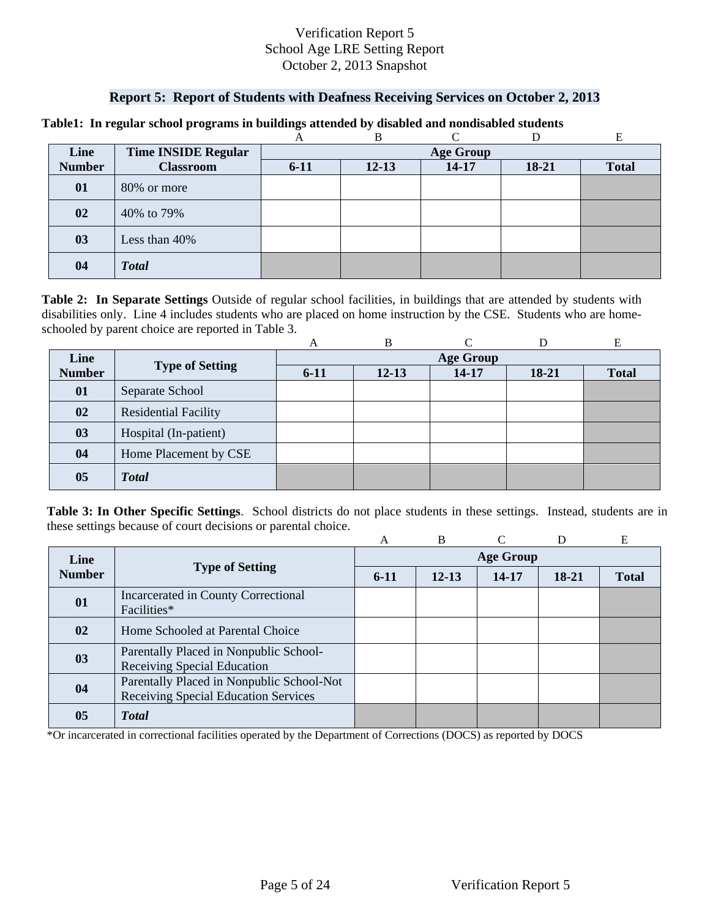### **Report 5: Report of Students with Deafness Receiving Services on October 2, 2013**

|               |                            |                  | B         |           |       |              |  |  |
|---------------|----------------------------|------------------|-----------|-----------|-------|--------------|--|--|
| Line          | <b>Time INSIDE Regular</b> | <b>Age Group</b> |           |           |       |              |  |  |
| <b>Number</b> | <b>Classroom</b>           | $6 - 11$         | $12 - 13$ | $14 - 17$ | 18-21 | <b>Total</b> |  |  |
| 01            | 80% or more                |                  |           |           |       |              |  |  |
| 02            | 40% to 79%                 |                  |           |           |       |              |  |  |
| 03            | Less than 40%              |                  |           |           |       |              |  |  |
| 04            | <b>Total</b>               |                  |           |           |       |              |  |  |

#### **Table1: In regular school programs in buildings attended by disabled and nondisabled students**

**Table 2: In Separate Settings** Outside of regular school facilities, in buildings that are attended by students with disabilities only. Line 4 includes students who are placed on home instruction by the CSE. Students who are homeschooled by parent choice are reported in Table 3.

|               |                             | A                | B         |       |         | Е            |  |  |
|---------------|-----------------------------|------------------|-----------|-------|---------|--------------|--|--|
| Line          | <b>Type of Setting</b>      | <b>Age Group</b> |           |       |         |              |  |  |
| <b>Number</b> |                             | $6 - 11$         | $12 - 13$ | 14-17 | $18-21$ | <b>Total</b> |  |  |
| 01            | Separate School             |                  |           |       |         |              |  |  |
| 02            | <b>Residential Facility</b> |                  |           |       |         |              |  |  |
| 03            | Hospital (In-patient)       |                  |           |       |         |              |  |  |
| 04            | Home Placement by CSE       |                  |           |       |         |              |  |  |
| 05            | <b>Total</b>                |                  |           |       |         |              |  |  |

**Table 3: In Other Specific Settings**. School districts do not place students in these settings. Instead, students are in these settings because of court decisions or parental choice.

|               |                                                                                   | А                | <sub>B</sub> |       | D     | E            |  |  |
|---------------|-----------------------------------------------------------------------------------|------------------|--------------|-------|-------|--------------|--|--|
| Line          |                                                                                   | <b>Age Group</b> |              |       |       |              |  |  |
| <b>Number</b> | <b>Type of Setting</b>                                                            | $6-11$           | $12 - 13$    | 14-17 | 18-21 | <b>Total</b> |  |  |
| 01            | Incarcerated in County Correctional<br>Facilities*                                |                  |              |       |       |              |  |  |
| 02            | Home Schooled at Parental Choice                                                  |                  |              |       |       |              |  |  |
| 03            | Parentally Placed in Nonpublic School-<br>Receiving Special Education             |                  |              |       |       |              |  |  |
| 04            | Parentally Placed in Nonpublic School-Not<br>Receiving Special Education Services |                  |              |       |       |              |  |  |
| 05            | <b>T</b> otal                                                                     |                  |              |       |       |              |  |  |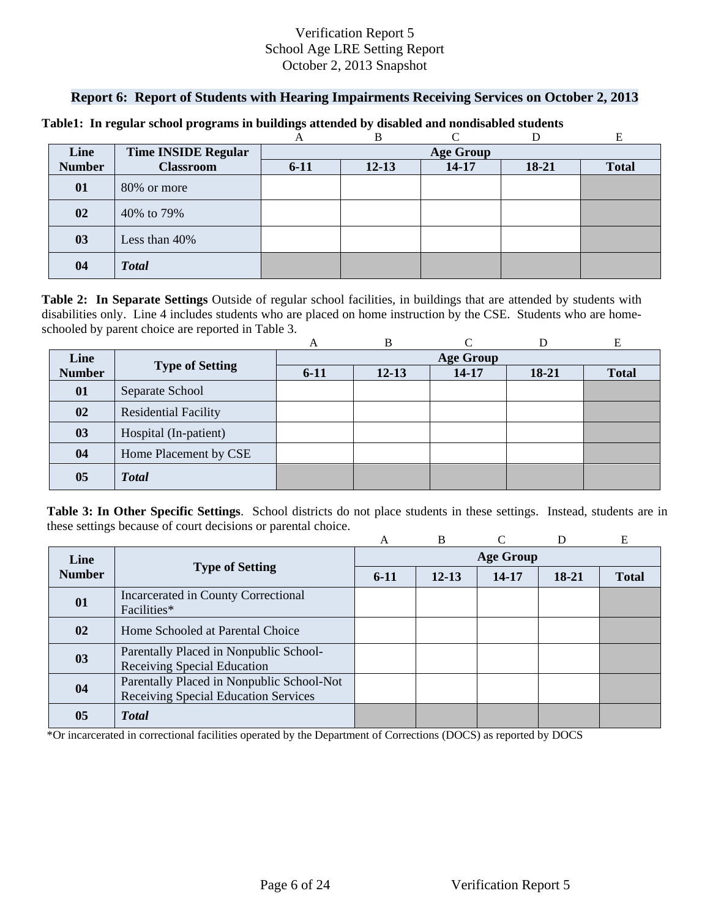### **Report 6: Report of Students with Hearing Impairments Receiving Services on October 2, 2013**

|               |                            |                  | B         | ⌒         |         |              |  |  |
|---------------|----------------------------|------------------|-----------|-----------|---------|--------------|--|--|
| Line          | <b>Time INSIDE Regular</b> | <b>Age Group</b> |           |           |         |              |  |  |
| <b>Number</b> | <b>Classroom</b>           | $6 - 11$         | $12 - 13$ | $14 - 17$ | $18-21$ | <b>Total</b> |  |  |
| 01            | 80% or more                |                  |           |           |         |              |  |  |
| 02            | 40% to 79%                 |                  |           |           |         |              |  |  |
| 03            | Less than 40%              |                  |           |           |         |              |  |  |
| 04            | <b>Total</b>               |                  |           |           |         |              |  |  |

#### **Table1: In regular school programs in buildings attended by disabled and nondisabled students**

**Table 2: In Separate Settings** Outside of regular school facilities, in buildings that are attended by students with disabilities only. Line 4 includes students who are placed on home instruction by the CSE. Students who are homeschooled by parent choice are reported in Table 3.

|               |                             | A                | B         |       |         | Е            |  |  |
|---------------|-----------------------------|------------------|-----------|-------|---------|--------------|--|--|
| Line          |                             | <b>Age Group</b> |           |       |         |              |  |  |
| <b>Number</b> | <b>Type of Setting</b>      | $6 - 11$         | $12 - 13$ | 14-17 | $18-21$ | <b>Total</b> |  |  |
| 01            | Separate School             |                  |           |       |         |              |  |  |
| 02            | <b>Residential Facility</b> |                  |           |       |         |              |  |  |
| 03            | Hospital (In-patient)       |                  |           |       |         |              |  |  |
| 04            | Home Placement by CSE       |                  |           |       |         |              |  |  |
| 05            | <b>Total</b>                |                  |           |       |         |              |  |  |

**Table 3: In Other Specific Settings**. School districts do not place students in these settings. Instead, students are in these settings because of court decisions or parental choice.

|               |                                                                                   | А                | <sub>B</sub> |       | D     | E            |  |  |
|---------------|-----------------------------------------------------------------------------------|------------------|--------------|-------|-------|--------------|--|--|
| Line          | <b>Type of Setting</b>                                                            | <b>Age Group</b> |              |       |       |              |  |  |
| <b>Number</b> |                                                                                   | $6-11$           | $12 - 13$    | 14-17 | 18-21 | <b>Total</b> |  |  |
| 01            | Incarcerated in County Correctional<br>Facilities*                                |                  |              |       |       |              |  |  |
| 02            | Home Schooled at Parental Choice                                                  |                  |              |       |       |              |  |  |
| 03            | Parentally Placed in Nonpublic School-<br>Receiving Special Education             |                  |              |       |       |              |  |  |
| 04            | Parentally Placed in Nonpublic School-Not<br>Receiving Special Education Services |                  |              |       |       |              |  |  |
| 05            | <b>T</b> otal                                                                     |                  |              |       |       |              |  |  |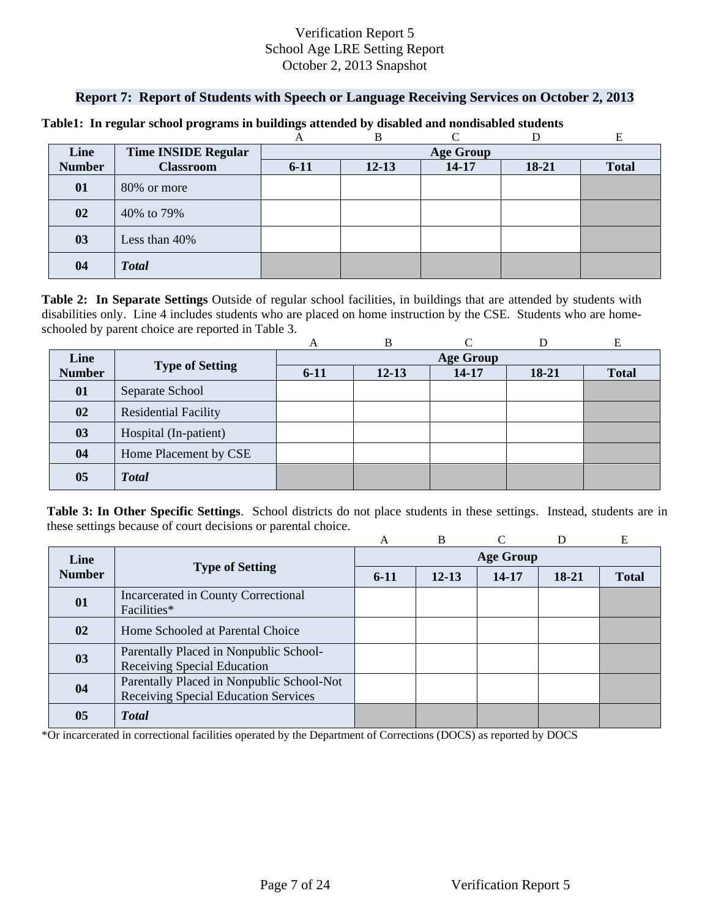### **Report 7: Report of Students with Speech or Language Receiving Services on October 2, 2013**

|               |                            |                  | B         | ⌒         |         |              |  |  |
|---------------|----------------------------|------------------|-----------|-----------|---------|--------------|--|--|
| Line          | <b>Time INSIDE Regular</b> | <b>Age Group</b> |           |           |         |              |  |  |
| <b>Number</b> | <b>Classroom</b>           | $6 - 11$         | $12 - 13$ | $14 - 17$ | $18-21$ | <b>Total</b> |  |  |
| 01            | 80% or more                |                  |           |           |         |              |  |  |
| 02            | 40% to 79%                 |                  |           |           |         |              |  |  |
| 03            | Less than 40%              |                  |           |           |         |              |  |  |
| 04            | <b>Total</b>               |                  |           |           |         |              |  |  |

#### **Table1: In regular school programs in buildings attended by disabled and nondisabled students**

**Table 2: In Separate Settings** Outside of regular school facilities, in buildings that are attended by students with disabilities only. Line 4 includes students who are placed on home instruction by the CSE. Students who are homeschooled by parent choice are reported in Table 3.

|               |                             | A                | B         |       |       | E            |  |  |
|---------------|-----------------------------|------------------|-----------|-------|-------|--------------|--|--|
| Line          |                             | <b>Age Group</b> |           |       |       |              |  |  |
| <b>Number</b> | <b>Type of Setting</b>      | $6 - 11$         | $12 - 13$ | 14-17 | 18-21 | <b>Total</b> |  |  |
| 01            | Separate School             |                  |           |       |       |              |  |  |
| 02            | <b>Residential Facility</b> |                  |           |       |       |              |  |  |
| 03            | Hospital (In-patient)       |                  |           |       |       |              |  |  |
| 04            | Home Placement by CSE       |                  |           |       |       |              |  |  |
| 05            | <b>Total</b>                |                  |           |       |       |              |  |  |

**Table 3: In Other Specific Settings**. School districts do not place students in these settings. Instead, students are in these settings because of court decisions or parental choice.

|               |                                                                                   | A                | B         |           | D     | E            |  |  |
|---------------|-----------------------------------------------------------------------------------|------------------|-----------|-----------|-------|--------------|--|--|
| Line          |                                                                                   | <b>Age Group</b> |           |           |       |              |  |  |
| <b>Number</b> | <b>Type of Setting</b>                                                            | $6-11$           | $12 - 13$ | $14 - 17$ | 18-21 | <b>Total</b> |  |  |
| 01            | Incarcerated in County Correctional<br>Facilities*                                |                  |           |           |       |              |  |  |
| 02            | Home Schooled at Parental Choice                                                  |                  |           |           |       |              |  |  |
| 03            | Parentally Placed in Nonpublic School-<br>Receiving Special Education             |                  |           |           |       |              |  |  |
| 04            | Parentally Placed in Nonpublic School-Not<br>Receiving Special Education Services |                  |           |           |       |              |  |  |
| 05            | <b>T</b> otal                                                                     |                  |           |           |       |              |  |  |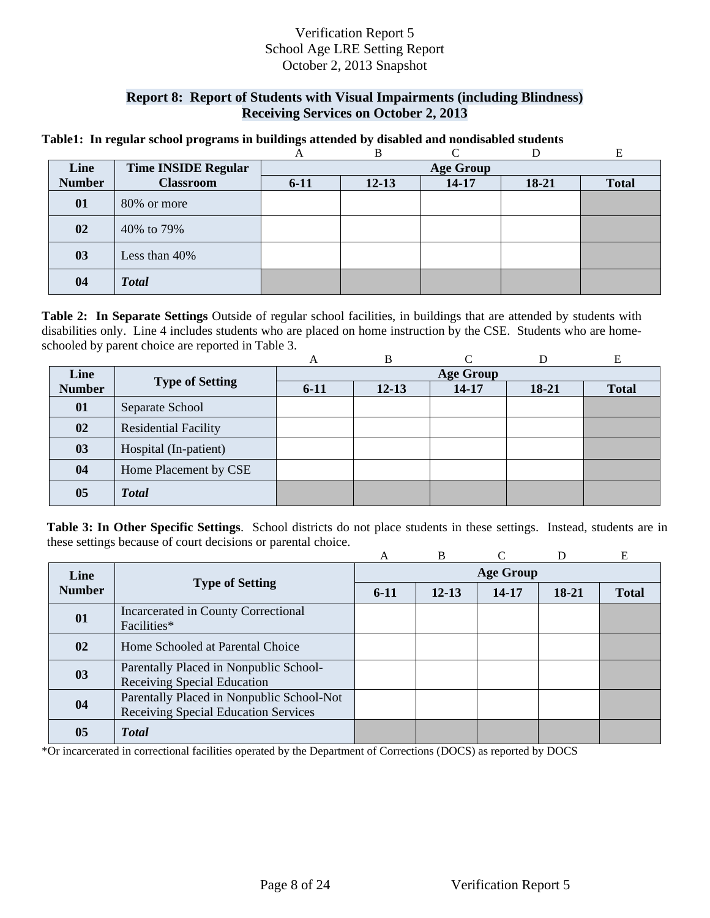## **Report 8: Report of Students with Visual Impairments (including Blindness) Receiving Services on October 2, 2013**

#### **Table1: In regular school programs in buildings attended by disabled and nondisabled students**

|               |                            |                  | B         |           |         | E            |  |  |
|---------------|----------------------------|------------------|-----------|-----------|---------|--------------|--|--|
| Line          | <b>Time INSIDE Regular</b> | <b>Age Group</b> |           |           |         |              |  |  |
| <b>Number</b> | <b>Classroom</b>           | $6 - 11$         | $12 - 13$ | $14 - 17$ | $18-21$ | <b>Total</b> |  |  |
| 01            | 80% or more                |                  |           |           |         |              |  |  |
| 02            | 40% to 79%                 |                  |           |           |         |              |  |  |
| 03            | Less than 40%              |                  |           |           |         |              |  |  |
| 04            | <b>Total</b>               |                  |           |           |         |              |  |  |

**Table 2: In Separate Settings** Outside of regular school facilities, in buildings that are attended by students with disabilities only. Line 4 includes students who are placed on home instruction by the CSE. Students who are homeschooled by parent choice are reported in Table 3.

|               |                             | A                | B         |       |         | E            |  |  |
|---------------|-----------------------------|------------------|-----------|-------|---------|--------------|--|--|
| Line          | <b>Type of Setting</b>      | <b>Age Group</b> |           |       |         |              |  |  |
| <b>Number</b> |                             | $6 - 11$         | $12 - 13$ | 14-17 | $18-21$ | <b>Total</b> |  |  |
| 01            | Separate School             |                  |           |       |         |              |  |  |
| 02            | <b>Residential Facility</b> |                  |           |       |         |              |  |  |
| 03            | Hospital (In-patient)       |                  |           |       |         |              |  |  |
| 04            | Home Placement by CSE       |                  |           |       |         |              |  |  |
| 05            | <b>Total</b>                |                  |           |       |         |              |  |  |

**Table 3: In Other Specific Settings**. School districts do not place students in these settings. Instead, students are in these settings because of court decisions or parental choice.

|               |                                                                                   | A                | B         |       |       | Е            |  |  |
|---------------|-----------------------------------------------------------------------------------|------------------|-----------|-------|-------|--------------|--|--|
| Line          | <b>Type of Setting</b>                                                            | <b>Age Group</b> |           |       |       |              |  |  |
| <b>Number</b> |                                                                                   | $6-11$           | $12 - 13$ | 14-17 | 18-21 | <b>Total</b> |  |  |
| 01            | Incarcerated in County Correctional<br>Facilities*                                |                  |           |       |       |              |  |  |
| 02            | Home Schooled at Parental Choice                                                  |                  |           |       |       |              |  |  |
| 03            | Parentally Placed in Nonpublic School-<br>Receiving Special Education             |                  |           |       |       |              |  |  |
| 04            | Parentally Placed in Nonpublic School-Not<br>Receiving Special Education Services |                  |           |       |       |              |  |  |
| 05            | <b>Total</b>                                                                      |                  |           |       |       |              |  |  |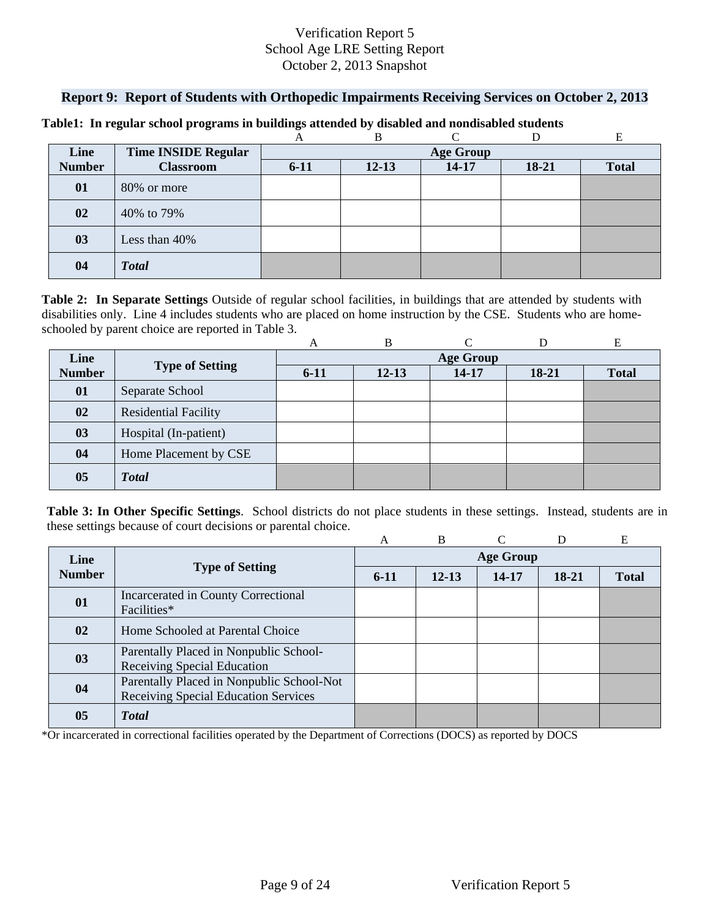### **Report 9: Report of Students with Orthopedic Impairments Receiving Services on October 2, 2013**

|               |                            |                  | B         |           |       | E            |  |  |
|---------------|----------------------------|------------------|-----------|-----------|-------|--------------|--|--|
| Line          | <b>Time INSIDE Regular</b> | <b>Age Group</b> |           |           |       |              |  |  |
| <b>Number</b> | <b>Classroom</b>           | $6 - 11$         | $12 - 13$ | $14 - 17$ | 18-21 | <b>Total</b> |  |  |
| 01            | 80% or more                |                  |           |           |       |              |  |  |
| 02            | 40% to 79%                 |                  |           |           |       |              |  |  |
| 03            | Less than 40%              |                  |           |           |       |              |  |  |
| 04            | <b>Total</b>               |                  |           |           |       |              |  |  |

#### **Table1: In regular school programs in buildings attended by disabled and nondisabled students**

**Table 2: In Separate Settings** Outside of regular school facilities, in buildings that are attended by students with disabilities only. Line 4 includes students who are placed on home instruction by the CSE. Students who are homeschooled by parent choice are reported in Table 3.

|               |                             | A                | B         |       |         | Е            |  |  |
|---------------|-----------------------------|------------------|-----------|-------|---------|--------------|--|--|
| Line          |                             | <b>Age Group</b> |           |       |         |              |  |  |
| <b>Number</b> | <b>Type of Setting</b>      | $6 - 11$         | $12 - 13$ | 14-17 | $18-21$ | <b>Total</b> |  |  |
| 01            | Separate School             |                  |           |       |         |              |  |  |
| 02            | <b>Residential Facility</b> |                  |           |       |         |              |  |  |
| 03            | Hospital (In-patient)       |                  |           |       |         |              |  |  |
| 04            | Home Placement by CSE       |                  |           |       |         |              |  |  |
| 05            | <b>Total</b>                |                  |           |       |         |              |  |  |

**Table 3: In Other Specific Settings**. School districts do not place students in these settings. Instead, students are in these settings because of court decisions or parental choice.

|               |                                                    | A                | B         |       | D     | E            |  |  |
|---------------|----------------------------------------------------|------------------|-----------|-------|-------|--------------|--|--|
| Line          |                                                    | <b>Age Group</b> |           |       |       |              |  |  |
| <b>Number</b> | <b>Type of Setting</b>                             | $6-11$           | $12 - 13$ | 14-17 | 18-21 | <b>Total</b> |  |  |
| 01            | Incarcerated in County Correctional<br>Facilities* |                  |           |       |       |              |  |  |
|               |                                                    |                  |           |       |       |              |  |  |
| 02            | Home Schooled at Parental Choice                   |                  |           |       |       |              |  |  |
| 03            | Parentally Placed in Nonpublic School-             |                  |           |       |       |              |  |  |
|               | Receiving Special Education                        |                  |           |       |       |              |  |  |
| 04            | Parentally Placed in Nonpublic School-Not          |                  |           |       |       |              |  |  |
|               | Receiving Special Education Services               |                  |           |       |       |              |  |  |
| 05            | <b>T</b> otal                                      |                  |           |       |       |              |  |  |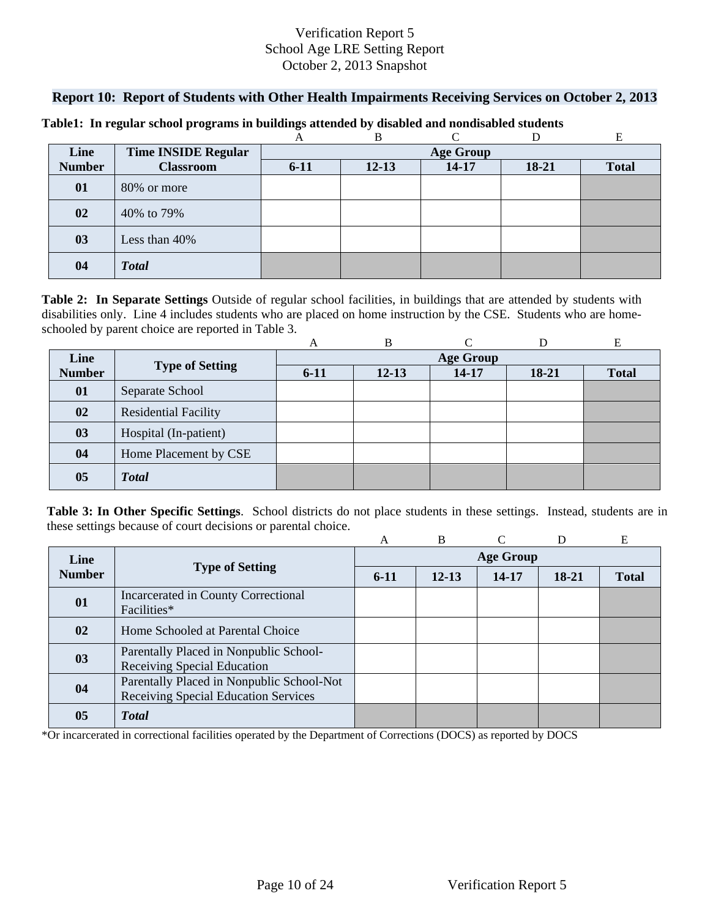### **Report 10: Report of Students with Other Health Impairments Receiving Services on October 2, 2013**

|               |                            |                  | B         |           |       | E            |  |  |
|---------------|----------------------------|------------------|-----------|-----------|-------|--------------|--|--|
| Line          | <b>Time INSIDE Regular</b> | <b>Age Group</b> |           |           |       |              |  |  |
| <b>Number</b> | <b>Classroom</b>           | $6 - 11$         | $12 - 13$ | $14 - 17$ | 18-21 | <b>Total</b> |  |  |
| 01            | 80% or more                |                  |           |           |       |              |  |  |
| 02            | 40% to 79%                 |                  |           |           |       |              |  |  |
| 03            | Less than 40%              |                  |           |           |       |              |  |  |
| 04            | <b>Total</b>               |                  |           |           |       |              |  |  |

#### **Table1: In regular school programs in buildings attended by disabled and nondisabled students**

**Table 2: In Separate Settings** Outside of regular school facilities, in buildings that are attended by students with disabilities only. Line 4 includes students who are placed on home instruction by the CSE. Students who are homeschooled by parent choice are reported in Table 3.

|               |                             | A                | B         |       |         | Е            |  |  |
|---------------|-----------------------------|------------------|-----------|-------|---------|--------------|--|--|
| Line          |                             | <b>Age Group</b> |           |       |         |              |  |  |
| <b>Number</b> | <b>Type of Setting</b>      | $6 - 11$         | $12 - 13$ | 14-17 | $18-21$ | <b>Total</b> |  |  |
| 01            | Separate School             |                  |           |       |         |              |  |  |
| 02            | <b>Residential Facility</b> |                  |           |       |         |              |  |  |
| 03            | Hospital (In-patient)       |                  |           |       |         |              |  |  |
| 04            | Home Placement by CSE       |                  |           |       |         |              |  |  |
| 05            | <b>Total</b>                |                  |           |       |         |              |  |  |

**Table 3: In Other Specific Settings**. School districts do not place students in these settings. Instead, students are in these settings because of court decisions or parental choice.

|               |                                                                                   | A                | B         |           | D     | E            |  |  |
|---------------|-----------------------------------------------------------------------------------|------------------|-----------|-----------|-------|--------------|--|--|
| Line          |                                                                                   | <b>Age Group</b> |           |           |       |              |  |  |
| <b>Number</b> | <b>Type of Setting</b>                                                            | $6-11$           | $12 - 13$ | $14 - 17$ | 18-21 | <b>Total</b> |  |  |
| 01            | Incarcerated in County Correctional<br>Facilities*                                |                  |           |           |       |              |  |  |
| 02            | Home Schooled at Parental Choice                                                  |                  |           |           |       |              |  |  |
| 03            | Parentally Placed in Nonpublic School-<br>Receiving Special Education             |                  |           |           |       |              |  |  |
| 04            | Parentally Placed in Nonpublic School-Not<br>Receiving Special Education Services |                  |           |           |       |              |  |  |
| 05            | <b>T</b> otal                                                                     |                  |           |           |       |              |  |  |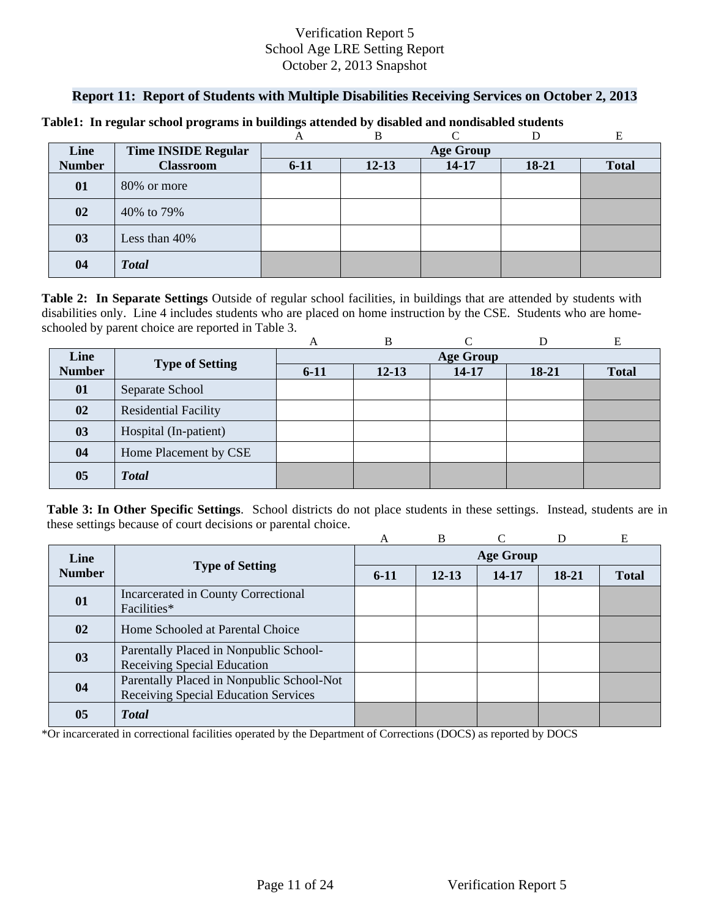## **Report 11: Report of Students with Multiple Disabilities Receiving Services on October 2, 2013**

|               |                            |                  | B         | ⌒         |         |              |  |  |
|---------------|----------------------------|------------------|-----------|-----------|---------|--------------|--|--|
| Line          | <b>Time INSIDE Regular</b> | <b>Age Group</b> |           |           |         |              |  |  |
| <b>Number</b> | <b>Classroom</b>           | $6 - 11$         | $12 - 13$ | $14 - 17$ | $18-21$ | <b>Total</b> |  |  |
| 01            | 80% or more                |                  |           |           |         |              |  |  |
| 02            | 40% to 79%                 |                  |           |           |         |              |  |  |
| 03            | Less than 40%              |                  |           |           |         |              |  |  |
| 04            | <b>Total</b>               |                  |           |           |         |              |  |  |

#### **Table1: In regular school programs in buildings attended by disabled and nondisabled students**

**Table 2: In Separate Settings** Outside of regular school facilities, in buildings that are attended by students with disabilities only. Line 4 includes students who are placed on home instruction by the CSE. Students who are homeschooled by parent choice are reported in Table 3.

|               |                             | A                | B         |       |         | Е            |  |  |
|---------------|-----------------------------|------------------|-----------|-------|---------|--------------|--|--|
| Line          | <b>Type of Setting</b>      | <b>Age Group</b> |           |       |         |              |  |  |
| <b>Number</b> |                             | $6 - 11$         | $12 - 13$ | 14-17 | $18-21$ | <b>Total</b> |  |  |
| 01            | Separate School             |                  |           |       |         |              |  |  |
| 02            | <b>Residential Facility</b> |                  |           |       |         |              |  |  |
| 03            | Hospital (In-patient)       |                  |           |       |         |              |  |  |
| 04            | Home Placement by CSE       |                  |           |       |         |              |  |  |
| 05            | <b>Total</b>                |                  |           |       |         |              |  |  |

**Table 3: In Other Specific Settings**. School districts do not place students in these settings. Instead, students are in these settings because of court decisions or parental choice.

|               |                                                                                   | A                | B         |       |           | Е            |  |  |
|---------------|-----------------------------------------------------------------------------------|------------------|-----------|-------|-----------|--------------|--|--|
| Line          |                                                                                   | <b>Age Group</b> |           |       |           |              |  |  |
| <b>Number</b> | <b>Type of Setting</b>                                                            | $6-11$           | $12 - 13$ | 14-17 | $18 - 21$ | <b>Total</b> |  |  |
| 01            | Incarcerated in County Correctional<br>Facilities*                                |                  |           |       |           |              |  |  |
| 02            | Home Schooled at Parental Choice                                                  |                  |           |       |           |              |  |  |
| 03            | Parentally Placed in Nonpublic School-<br><b>Receiving Special Education</b>      |                  |           |       |           |              |  |  |
| 04            | Parentally Placed in Nonpublic School-Not<br>Receiving Special Education Services |                  |           |       |           |              |  |  |
| 05            | <b>T</b> otal                                                                     |                  |           |       |           |              |  |  |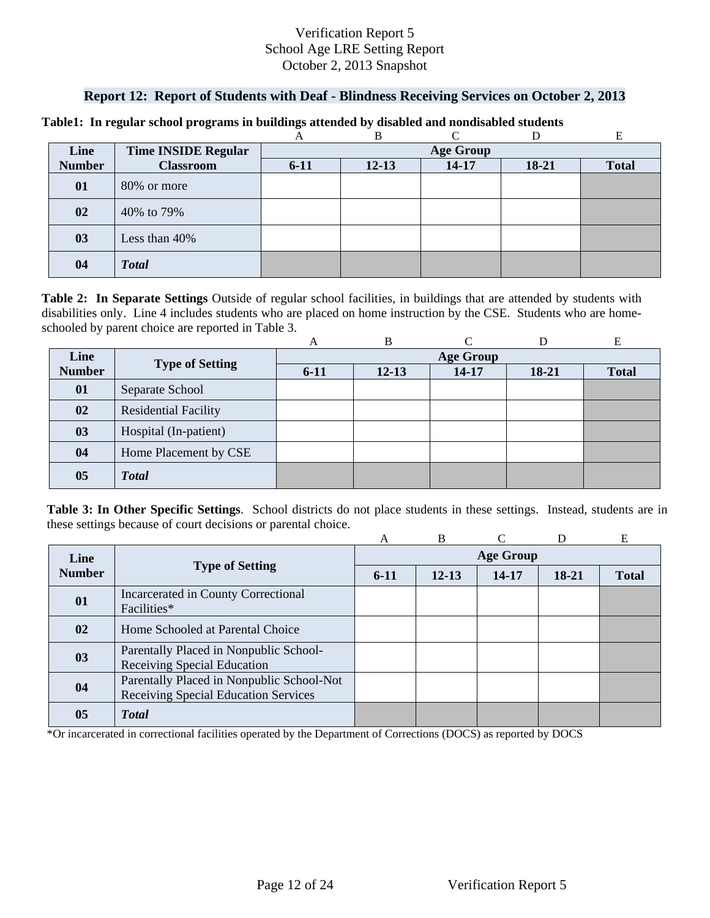## **Report 12: Report of Students with Deaf - Blindness Receiving Services on October 2, 2013**

|               |                            |                  | В         |           |       |              |  |  |
|---------------|----------------------------|------------------|-----------|-----------|-------|--------------|--|--|
| Line          | <b>Time INSIDE Regular</b> | <b>Age Group</b> |           |           |       |              |  |  |
| <b>Number</b> | <b>Classroom</b>           | $6 - 11$         | $12 - 13$ | $14 - 17$ | 18-21 | <b>Total</b> |  |  |
| 01            | 80% or more                |                  |           |           |       |              |  |  |
| 02            | 40% to 79%                 |                  |           |           |       |              |  |  |
| 03            | Less than 40%              |                  |           |           |       |              |  |  |
| 04            | <b>Total</b>               |                  |           |           |       |              |  |  |

#### **Table1: In regular school programs in buildings attended by disabled and nondisabled students**

**Table 2: In Separate Settings** Outside of regular school facilities, in buildings that are attended by students with disabilities only. Line 4 includes students who are placed on home instruction by the CSE. Students who are homeschooled by parent choice are reported in Table 3.

|               |                             | A                | B         |       |         | Е            |  |  |
|---------------|-----------------------------|------------------|-----------|-------|---------|--------------|--|--|
| Line          | <b>Type of Setting</b>      | <b>Age Group</b> |           |       |         |              |  |  |
| <b>Number</b> |                             | $6 - 11$         | $12 - 13$ | 14-17 | $18-21$ | <b>Total</b> |  |  |
| 01            | Separate School             |                  |           |       |         |              |  |  |
| 02            | <b>Residential Facility</b> |                  |           |       |         |              |  |  |
| 03            | Hospital (In-patient)       |                  |           |       |         |              |  |  |
| 04            | Home Placement by CSE       |                  |           |       |         |              |  |  |
| 05            | <b>Total</b>                |                  |           |       |         |              |  |  |

**Table 3: In Other Specific Settings**. School districts do not place students in these settings. Instead, students are in these settings because of court decisions or parental choice.

|               |                                                                                   | A                | R         |       |       | E            |  |  |
|---------------|-----------------------------------------------------------------------------------|------------------|-----------|-------|-------|--------------|--|--|
| Line          | <b>Type of Setting</b>                                                            | <b>Age Group</b> |           |       |       |              |  |  |
| <b>Number</b> |                                                                                   | $6-11$           | $12 - 13$ | 14-17 | 18-21 | <b>Total</b> |  |  |
| 01            | Incarcerated in County Correctional<br>Facilities*                                |                  |           |       |       |              |  |  |
| 02            | Home Schooled at Parental Choice                                                  |                  |           |       |       |              |  |  |
| 03            | Parentally Placed in Nonpublic School-<br><b>Receiving Special Education</b>      |                  |           |       |       |              |  |  |
| 04            | Parentally Placed in Nonpublic School-Not<br>Receiving Special Education Services |                  |           |       |       |              |  |  |
| 05            | <b>Total</b>                                                                      |                  |           |       |       |              |  |  |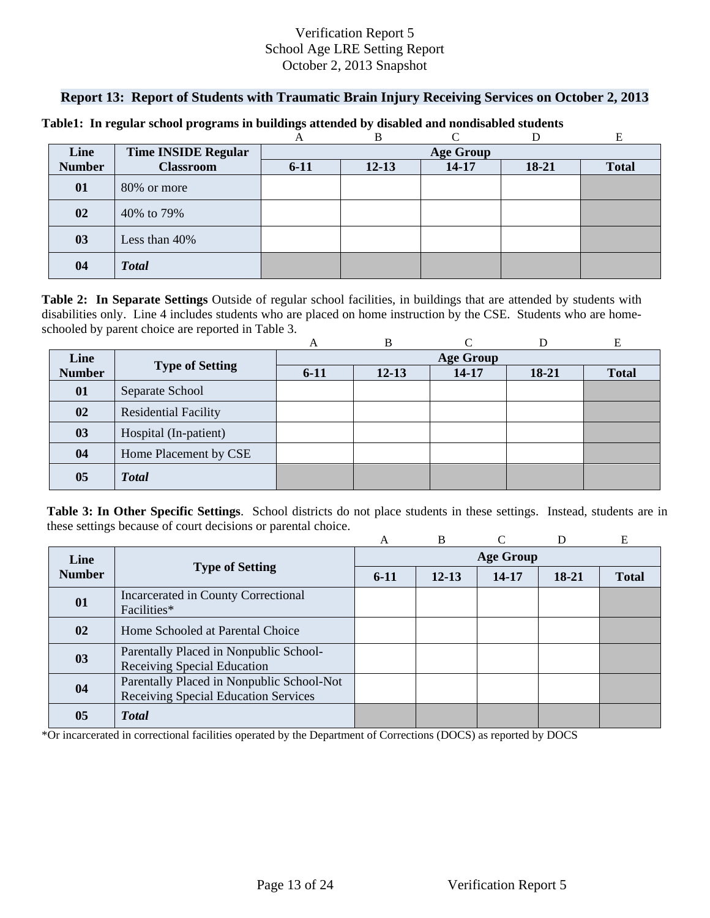### **Report 13: Report of Students with Traumatic Brain Injury Receiving Services on October 2, 2013**

|               |                            |          | B         |                  |       | E            |
|---------------|----------------------------|----------|-----------|------------------|-------|--------------|
| Line          | <b>Time INSIDE Regular</b> |          |           | <b>Age Group</b> |       |              |
| <b>Number</b> | <b>Classroom</b>           | $6 - 11$ | $12 - 13$ | $14 - 17$        | 18-21 | <b>Total</b> |
| 01            | 80% or more                |          |           |                  |       |              |
| 02            | 40% to 79%                 |          |           |                  |       |              |
| 03            | Less than 40%              |          |           |                  |       |              |
| 04            | <b>Total</b>               |          |           |                  |       |              |

#### **Table1: In regular school programs in buildings attended by disabled and nondisabled students**

**Table 2: In Separate Settings** Outside of regular school facilities, in buildings that are attended by students with disabilities only. Line 4 includes students who are placed on home instruction by the CSE. Students who are homeschooled by parent choice are reported in Table 3.

|               |                             | A        | B         |                  |         | Е            |
|---------------|-----------------------------|----------|-----------|------------------|---------|--------------|
| Line          |                             |          |           | <b>Age Group</b> |         |              |
| <b>Number</b> | <b>Type of Setting</b>      | $6 - 11$ | $12 - 13$ | 14-17            | $18-21$ | <b>Total</b> |
| 01            | Separate School             |          |           |                  |         |              |
| 02            | <b>Residential Facility</b> |          |           |                  |         |              |
| 03            | Hospital (In-patient)       |          |           |                  |         |              |
| 04            | Home Placement by CSE       |          |           |                  |         |              |
| 05            | <b>Total</b>                |          |           |                  |         |              |

**Table 3: In Other Specific Settings**. School districts do not place students in these settings. Instead, students are in these settings because of court decisions or parental choice.

|               |                                                                                   | A                | B         |           | D     | E            |  |  |  |  |  |
|---------------|-----------------------------------------------------------------------------------|------------------|-----------|-----------|-------|--------------|--|--|--|--|--|
| Line          |                                                                                   | <b>Age Group</b> |           |           |       |              |  |  |  |  |  |
| <b>Number</b> | <b>Type of Setting</b>                                                            | $6-11$           | $12 - 13$ | $14 - 17$ | 18-21 | <b>Total</b> |  |  |  |  |  |
| 01            | Incarcerated in County Correctional<br>Facilities*                                |                  |           |           |       |              |  |  |  |  |  |
| 02            | Home Schooled at Parental Choice                                                  |                  |           |           |       |              |  |  |  |  |  |
| 03            | Parentally Placed in Nonpublic School-<br>Receiving Special Education             |                  |           |           |       |              |  |  |  |  |  |
| 04            | Parentally Placed in Nonpublic School-Not<br>Receiving Special Education Services |                  |           |           |       |              |  |  |  |  |  |
| 05            | <b>T</b> otal                                                                     |                  |           |           |       |              |  |  |  |  |  |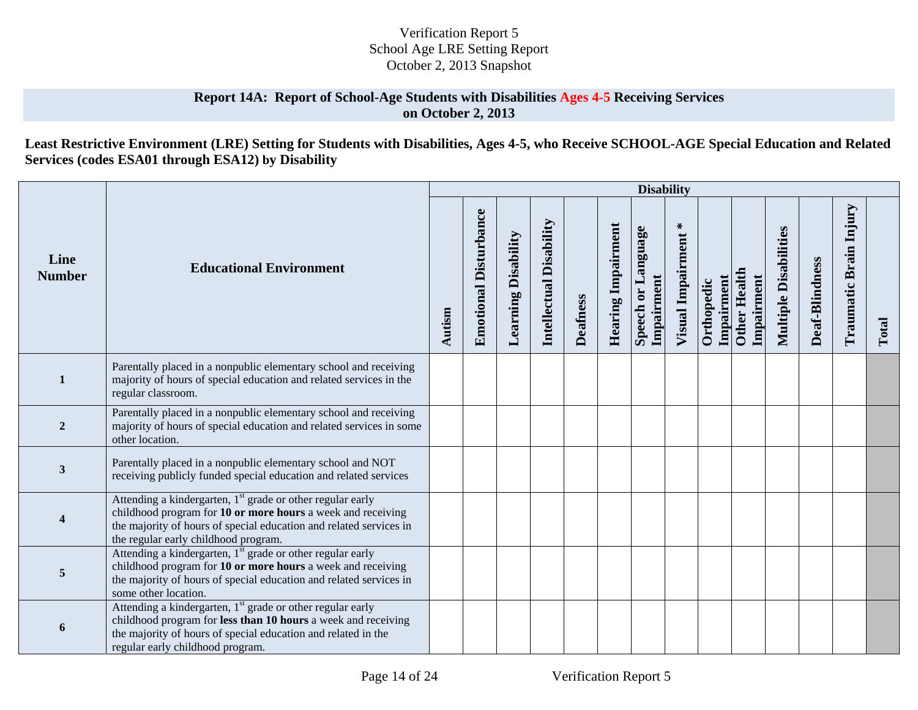### **Report 14A: Report of School-Age Students with Disabilities Ages 4-5 Receiving Services on October 2, 2013**

**Least Restrictive Environment (LRE) Setting for Students with Disabilities, Ages 4-5, who Receive SCHOOL-AGE Special Education and Related Services (codes ESA01 through ESA12) by Disability**

|                       |                                                                                                                                                                                                                                                     |        |                              |                            |                                |                 |                           | <b>Disability</b>                |                             |                          |                                   |                              |                |                        |       |
|-----------------------|-----------------------------------------------------------------------------------------------------------------------------------------------------------------------------------------------------------------------------------------------------|--------|------------------------------|----------------------------|--------------------------------|-----------------|---------------------------|----------------------------------|-----------------------------|--------------------------|-----------------------------------|------------------------------|----------------|------------------------|-------|
| Line<br><b>Number</b> | <b>Educational Environment</b>                                                                                                                                                                                                                      | Autism | <b>Emotional Disturbance</b> | <b>Learning Disability</b> | <b>Intellectual Disability</b> | <b>Deafness</b> | <b>Hearing Impairment</b> | Speech or Language<br>Impairment | $\ast$<br>Visual Impairment | Impairment<br>Orthopedic | <b>Other Health</b><br>Impairment | <b>Multiple Disabilities</b> | Deaf-Blindness | Traumatic Brain Injury | Total |
| $\mathbf{1}$          | Parentally placed in a nonpublic elementary school and receiving<br>majority of hours of special education and related services in the<br>regular classroom.                                                                                        |        |                              |                            |                                |                 |                           |                                  |                             |                          |                                   |                              |                |                        |       |
| $\overline{2}$        | Parentally placed in a nonpublic elementary school and receiving<br>majority of hours of special education and related services in some<br>other location.                                                                                          |        |                              |                            |                                |                 |                           |                                  |                             |                          |                                   |                              |                |                        |       |
| 3                     | Parentally placed in a nonpublic elementary school and NOT<br>receiving publicly funded special education and related services                                                                                                                      |        |                              |                            |                                |                 |                           |                                  |                             |                          |                                   |                              |                |                        |       |
| 4                     | Attending a kindergarten, 1 <sup>st</sup> grade or other regular early<br>childhood program for 10 or more hours a week and receiving<br>the majority of hours of special education and related services in<br>the regular early childhood program. |        |                              |                            |                                |                 |                           |                                  |                             |                          |                                   |                              |                |                        |       |
| 5                     | Attending a kindergarten, 1 <sup>st</sup> grade or other regular early<br>childhood program for 10 or more hours a week and receiving<br>the majority of hours of special education and related services in<br>some other location.                 |        |                              |                            |                                |                 |                           |                                  |                             |                          |                                   |                              |                |                        |       |
| 6                     | Attending a kindergarten, 1 <sup>st</sup> grade or other regular early<br>childhood program for less than 10 hours a week and receiving<br>the majority of hours of special education and related in the<br>regular early childhood program.        |        |                              |                            |                                |                 |                           |                                  |                             |                          |                                   |                              |                |                        |       |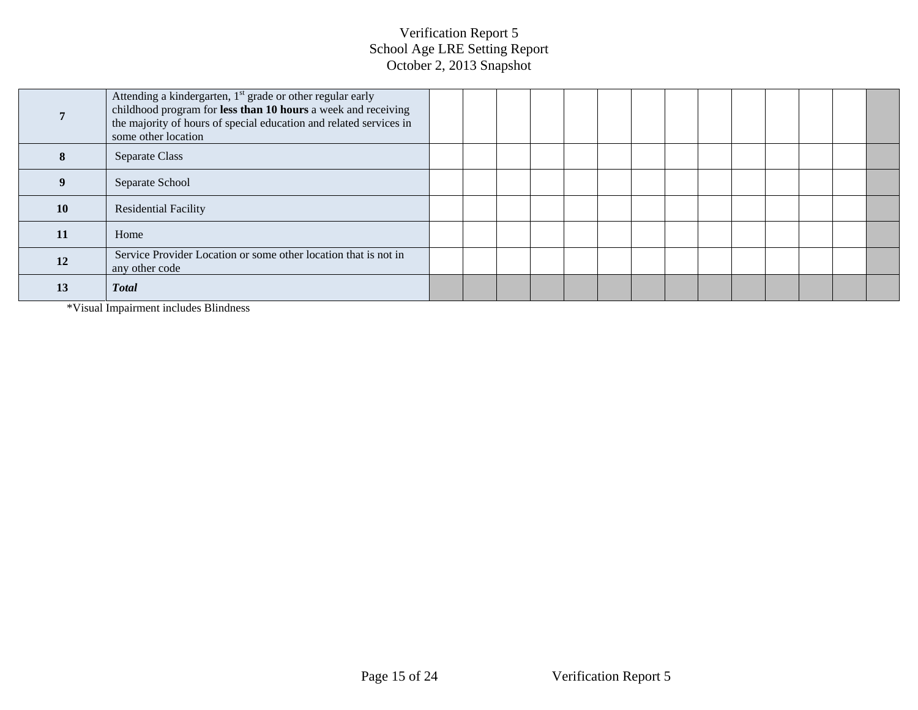|           | Attending a kindergarten, 1 <sup>st</sup> grade or other regular early<br>childhood program for less than 10 hours a week and receiving<br>the majority of hours of special education and related services in<br>some other location |  |  |  |  |  |  |  |
|-----------|--------------------------------------------------------------------------------------------------------------------------------------------------------------------------------------------------------------------------------------|--|--|--|--|--|--|--|
| x         | Separate Class                                                                                                                                                                                                                       |  |  |  |  |  |  |  |
|           | Separate School                                                                                                                                                                                                                      |  |  |  |  |  |  |  |
| <b>10</b> | <b>Residential Facility</b>                                                                                                                                                                                                          |  |  |  |  |  |  |  |
| 11        | Home                                                                                                                                                                                                                                 |  |  |  |  |  |  |  |
| 12        | Service Provider Location or some other location that is not in<br>any other code                                                                                                                                                    |  |  |  |  |  |  |  |
| 13        | <b>Total</b>                                                                                                                                                                                                                         |  |  |  |  |  |  |  |

\*Visual Impairment includes Blindness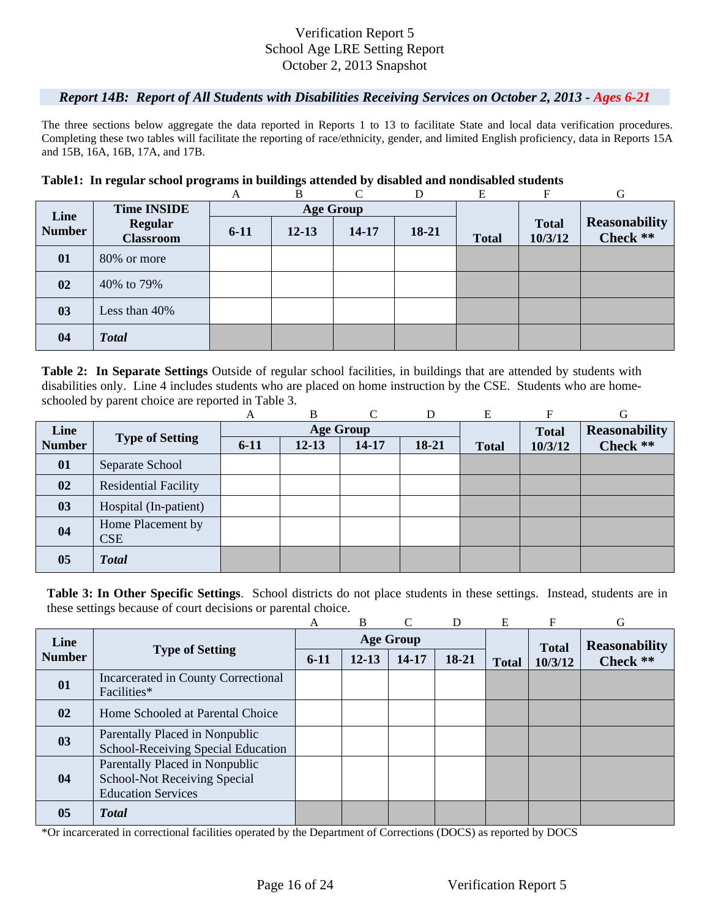### *Report 14B: Report of All Students with Disabilities Receiving Services on October 2, 2013 - Ages 6-21*

The three sections below aggregate the data reported in Reports 1 to 13 to facilitate State and local data verification procedures. Completing these two tables will facilitate the reporting of race/ethnicity, gender, and limited English proficiency, data in Reports 15A and 15B, 16A, 16B, 17A, and 17B.

#### **Table1: In regular school programs in buildings attended by disabled and nondisabled students**

|               |                                    | A        | B         |                  |       | E            | F                       | G                                |
|---------------|------------------------------------|----------|-----------|------------------|-------|--------------|-------------------------|----------------------------------|
| Line          | <b>Time INSIDE</b>                 |          |           | <b>Age Group</b> |       |              |                         |                                  |
| <b>Number</b> | <b>Regular</b><br><b>Classroom</b> | $6 - 11$ | $12 - 13$ | 14-17            | 18-21 | <b>Total</b> | <b>Total</b><br>10/3/12 | <b>Reasonability</b><br>Check ** |
| 01            | 80% or more                        |          |           |                  |       |              |                         |                                  |
| 02            | 40% to 79%                         |          |           |                  |       |              |                         |                                  |
| 03            | Less than 40%                      |          |           |                  |       |              |                         |                                  |
| 04            | <b>Total</b>                       |          |           |                  |       |              |                         |                                  |

**Table 2: In Separate Settings** Outside of regular school facilities, in buildings that are attended by students with disabilities only. Line 4 includes students who are placed on home instruction by the CSE. Students who are homeschooled by parent choice are reported in Table 3.

|               |                                 | A        | B         |                  | D     | E            | F            | G                    |
|---------------|---------------------------------|----------|-----------|------------------|-------|--------------|--------------|----------------------|
| Line          |                                 |          |           | <b>Age Group</b> |       |              | <b>Total</b> | <b>Reasonability</b> |
| <b>Number</b> | <b>Type of Setting</b>          | $6 - 11$ | $12 - 13$ | 14-17            | 18-21 | <b>Total</b> | 10/3/12      | Check **             |
| 01            | Separate School                 |          |           |                  |       |              |              |                      |
| 02            | <b>Residential Facility</b>     |          |           |                  |       |              |              |                      |
| 03            | Hospital (In-patient)           |          |           |                  |       |              |              |                      |
| 04            | Home Placement by<br><b>CSE</b> |          |           |                  |       |              |              |                      |
| 05            | <b>Total</b>                    |          |           |                  |       |              |              |                      |

**Table 3: In Other Specific Settings**. School districts do not place students in these settings. Instead, students are in these settings because of court decisions or parental choice.

|               |                                                                                                    | A      | B         | $\mathcal{C}$    | D     | E            | F            | G                    |
|---------------|----------------------------------------------------------------------------------------------------|--------|-----------|------------------|-------|--------------|--------------|----------------------|
| Line          |                                                                                                    |        |           | <b>Age Group</b> |       |              | <b>Total</b> | <b>Reasonability</b> |
| <b>Number</b> | <b>Type of Setting</b>                                                                             | $6-11$ | $12 - 13$ | 14-17            | 18-21 | <b>Total</b> | 10/3/12      | Check **             |
| 01            | Incarcerated in County Correctional<br>Facilities*                                                 |        |           |                  |       |              |              |                      |
| 02            | Home Schooled at Parental Choice                                                                   |        |           |                  |       |              |              |                      |
| 03            | Parentally Placed in Nonpublic<br>School-Receiving Special Education                               |        |           |                  |       |              |              |                      |
| 04            | Parentally Placed in Nonpublic<br><b>School-Not Receiving Special</b><br><b>Education Services</b> |        |           |                  |       |              |              |                      |
| 05            | <b>Total</b>                                                                                       |        |           |                  |       |              |              |                      |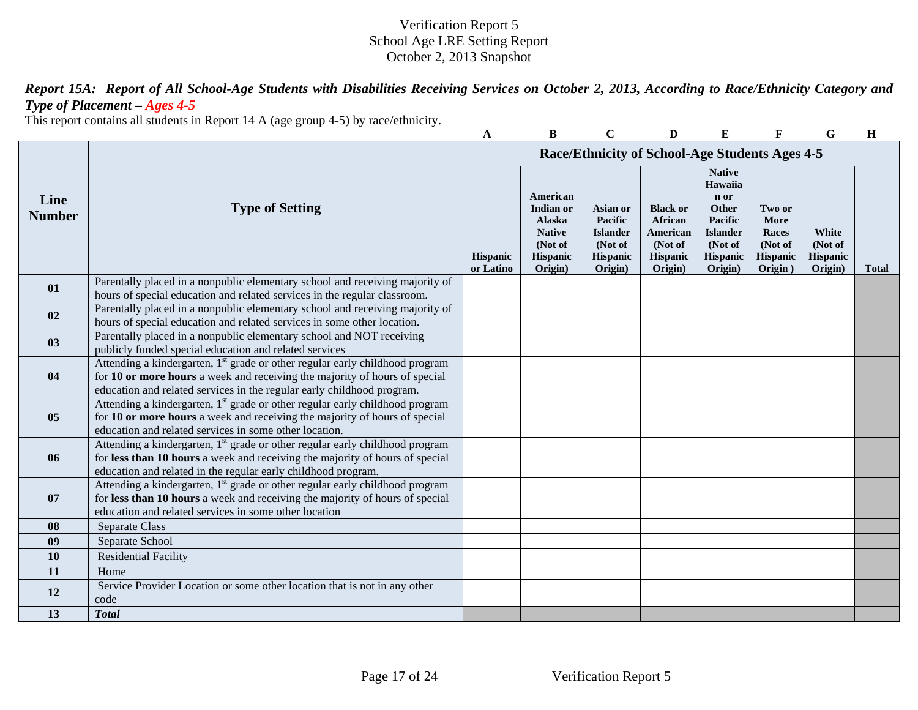*Report 15A: Report of All School-Age Students with Disabilities Receiving Services on October 2, 2013, According to Race/Ethnicity Category and Type of Placement – Ages 4-5*

This report contains all students in Report 14 A (age group 4-5) by race/ethnicity.

|                       |                                                                                                                                                                                                                                                  | A                     | B                                                                                                | $\mathbf C$                                                              | D                                                                                      | $\bf{E}$                                                                                                                | $\mathbf{F}$                                                     | G                                              | H            |
|-----------------------|--------------------------------------------------------------------------------------------------------------------------------------------------------------------------------------------------------------------------------------------------|-----------------------|--------------------------------------------------------------------------------------------------|--------------------------------------------------------------------------|----------------------------------------------------------------------------------------|-------------------------------------------------------------------------------------------------------------------------|------------------------------------------------------------------|------------------------------------------------|--------------|
|                       |                                                                                                                                                                                                                                                  |                       |                                                                                                  |                                                                          | Race/Ethnicity of School-Age Students Ages 4-5                                         |                                                                                                                         |                                                                  |                                                |              |
| Line<br><b>Number</b> | <b>Type of Setting</b>                                                                                                                                                                                                                           | Hispanic<br>or Latino | American<br>Indian or<br><b>Alaska</b><br><b>Native</b><br>(Not of<br><b>Hispanic</b><br>Origin) | Asian or<br>Pacific<br><b>Islander</b><br>(Not of<br>Hispanic<br>Origin) | <b>Black or</b><br><b>African</b><br>American<br>(Not of<br><b>Hispanic</b><br>Origin) | <b>Native</b><br>Hawaiia<br>n or<br>Other<br><b>Pacific</b><br><b>Islander</b><br>(Not of<br><b>Hispanic</b><br>Origin) | Two or<br>More<br>Races<br>(Not of<br><b>Hispanic</b><br>Origin) | White<br>(Not of<br><b>Hispanic</b><br>Origin) | <b>Total</b> |
| 01                    | Parentally placed in a nonpublic elementary school and receiving majority of<br>hours of special education and related services in the regular classroom.                                                                                        |                       |                                                                                                  |                                                                          |                                                                                        |                                                                                                                         |                                                                  |                                                |              |
| 02                    | Parentally placed in a nonpublic elementary school and receiving majority of<br>hours of special education and related services in some other location.                                                                                          |                       |                                                                                                  |                                                                          |                                                                                        |                                                                                                                         |                                                                  |                                                |              |
| 0 <sub>3</sub>        | Parentally placed in a nonpublic elementary school and NOT receiving<br>publicly funded special education and related services                                                                                                                   |                       |                                                                                                  |                                                                          |                                                                                        |                                                                                                                         |                                                                  |                                                |              |
| 04                    | Attending a kindergarten, 1 <sup>st</sup> grade or other regular early childhood program<br>for 10 or more hours a week and receiving the majority of hours of special<br>education and related services in the regular early childhood program. |                       |                                                                                                  |                                                                          |                                                                                        |                                                                                                                         |                                                                  |                                                |              |
| 05                    | Attending a kindergarten, 1 <sup>st</sup> grade or other regular early childhood program<br>for 10 or more hours a week and receiving the majority of hours of special<br>education and related services in some other location.                 |                       |                                                                                                  |                                                                          |                                                                                        |                                                                                                                         |                                                                  |                                                |              |
| 06                    | Attending a kindergarten, 1 <sup>st</sup> grade or other regular early childhood program<br>for less than 10 hours a week and receiving the majority of hours of special<br>education and related in the regular early childhood program.        |                       |                                                                                                  |                                                                          |                                                                                        |                                                                                                                         |                                                                  |                                                |              |
| 07                    | Attending a kindergarten, 1 <sup>st</sup> grade or other regular early childhood program<br>for less than 10 hours a week and receiving the majority of hours of special<br>education and related services in some other location                |                       |                                                                                                  |                                                                          |                                                                                        |                                                                                                                         |                                                                  |                                                |              |
| 08                    | Separate Class                                                                                                                                                                                                                                   |                       |                                                                                                  |                                                                          |                                                                                        |                                                                                                                         |                                                                  |                                                |              |
| 09                    | Separate School                                                                                                                                                                                                                                  |                       |                                                                                                  |                                                                          |                                                                                        |                                                                                                                         |                                                                  |                                                |              |
| 10                    | <b>Residential Facility</b>                                                                                                                                                                                                                      |                       |                                                                                                  |                                                                          |                                                                                        |                                                                                                                         |                                                                  |                                                |              |
| 11                    | Home                                                                                                                                                                                                                                             |                       |                                                                                                  |                                                                          |                                                                                        |                                                                                                                         |                                                                  |                                                |              |
| 12                    | Service Provider Location or some other location that is not in any other<br>code                                                                                                                                                                |                       |                                                                                                  |                                                                          |                                                                                        |                                                                                                                         |                                                                  |                                                |              |
| 13                    | <b>Total</b>                                                                                                                                                                                                                                     |                       |                                                                                                  |                                                                          |                                                                                        |                                                                                                                         |                                                                  |                                                |              |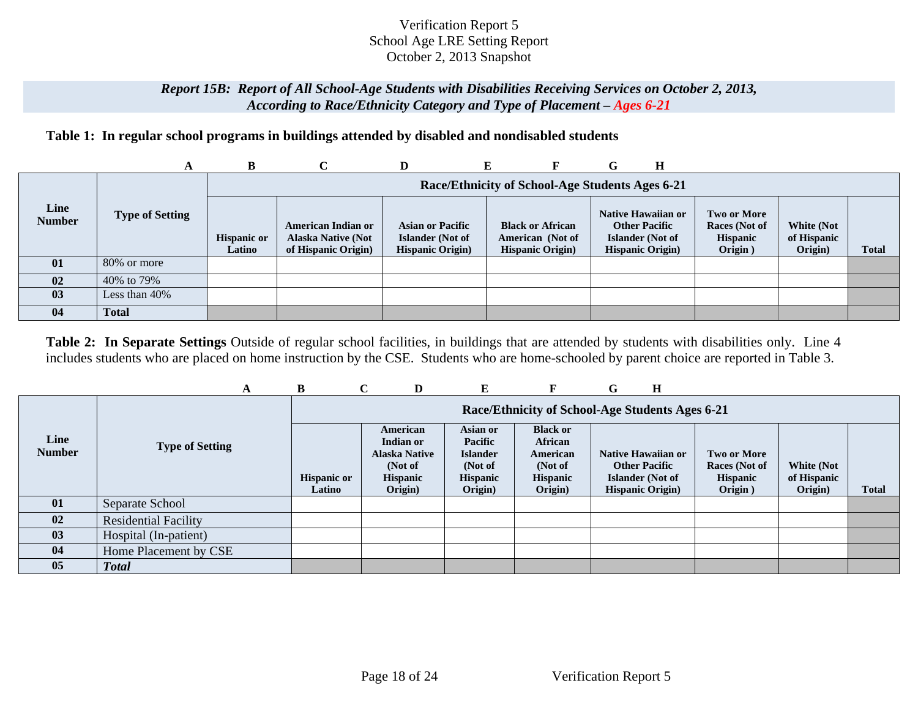## *Report 15B: Report of All School-Age Students with Disabilities Receiving Services on October 2, 2013, According to Race/Ethnicity Category and Type of Placement – Ages 6-21*

## **Table 1: In regular school programs in buildings attended by disabled and nondisabled students**

|                       | A                      | B.                           |                                                                        | D                                                                       |                                                                         | $\bf H$<br>G                                                                                             |                                                            |                                      |              |
|-----------------------|------------------------|------------------------------|------------------------------------------------------------------------|-------------------------------------------------------------------------|-------------------------------------------------------------------------|----------------------------------------------------------------------------------------------------------|------------------------------------------------------------|--------------------------------------|--------------|
|                       |                        |                              |                                                                        |                                                                         | Race/Ethnicity of School-Age Students Ages 6-21                         |                                                                                                          |                                                            |                                      |              |
| Line<br><b>Number</b> | <b>Type of Setting</b> | <b>Hispanic or</b><br>Latino | American Indian or<br><b>Alaska Native (Not</b><br>of Hispanic Origin) | <b>Asian or Pacific</b><br>Islander (Not of<br><b>Hispanic Origin</b> ) | <b>Black or African</b><br>American (Not of<br><b>Hispanic Origin</b> ) | <b>Native Hawaiian or</b><br><b>Other Pacific</b><br><b>Islander</b> (Not of<br><b>Hispanic Origin</b> ) | Two or More<br>Races (Not of<br><b>Hispanic</b><br>Origin) | White (Not<br>of Hispanic<br>Origin) | <b>Total</b> |
| 01                    | 80% or more            |                              |                                                                        |                                                                         |                                                                         |                                                                                                          |                                                            |                                      |              |
| 02                    | 40% to 79%             |                              |                                                                        |                                                                         |                                                                         |                                                                                                          |                                                            |                                      |              |
| 03                    | Less than 40%          |                              |                                                                        |                                                                         |                                                                         |                                                                                                          |                                                            |                                      |              |
| 04                    | <b>Total</b>           |                              |                                                                        |                                                                         |                                                                         |                                                                                                          |                                                            |                                      |              |

**Table 2: In Separate Settings** Outside of regular school facilities, in buildings that are attended by students with disabilities only. Line 4 includes students who are placed on home instruction by the CSE. Students who are home-schooled by parent choice are reported in Table 3.

|                       | A                           | B                            | $\mathbf C$                                                                     | E                                                                                      |                                                                          | G<br>$\bf H$                                                                                      |                                                                   |                                             |              |
|-----------------------|-----------------------------|------------------------------|---------------------------------------------------------------------------------|----------------------------------------------------------------------------------------|--------------------------------------------------------------------------|---------------------------------------------------------------------------------------------------|-------------------------------------------------------------------|---------------------------------------------|--------------|
|                       |                             |                              |                                                                                 |                                                                                        |                                                                          | Race/Ethnicity of School-Age Students Ages 6-21                                                   |                                                                   |                                             |              |
| Line<br><b>Number</b> | <b>Type of Setting</b>      | <b>Hispanic or</b><br>Latino | American<br>Indian or<br><b>Alaska Native</b><br>(Not of<br>Hispanic<br>Origin) | Asian or<br><b>Pacific</b><br><b>Islander</b><br>(Not of<br><b>Hispanic</b><br>Origin) | <b>Black or</b><br>African<br>American<br>(Not of<br>Hispanic<br>Origin) | Native Hawaiian or<br><b>Other Pacific</b><br><b>Islander</b> (Not of<br><b>Hispanic Origin</b> ) | <b>Two or More</b><br>Races (Not of<br><b>Hispanic</b><br>Origin) | <b>White (Not</b><br>of Hispanic<br>Origin) | <b>Total</b> |
| 01                    | Separate School             |                              |                                                                                 |                                                                                        |                                                                          |                                                                                                   |                                                                   |                                             |              |
| 02                    | <b>Residential Facility</b> |                              |                                                                                 |                                                                                        |                                                                          |                                                                                                   |                                                                   |                                             |              |
| 03                    | Hospital (In-patient)       |                              |                                                                                 |                                                                                        |                                                                          |                                                                                                   |                                                                   |                                             |              |
| 04                    | Home Placement by CSE       |                              |                                                                                 |                                                                                        |                                                                          |                                                                                                   |                                                                   |                                             |              |
| 05                    | <b>Total</b>                |                              |                                                                                 |                                                                                        |                                                                          |                                                                                                   |                                                                   |                                             |              |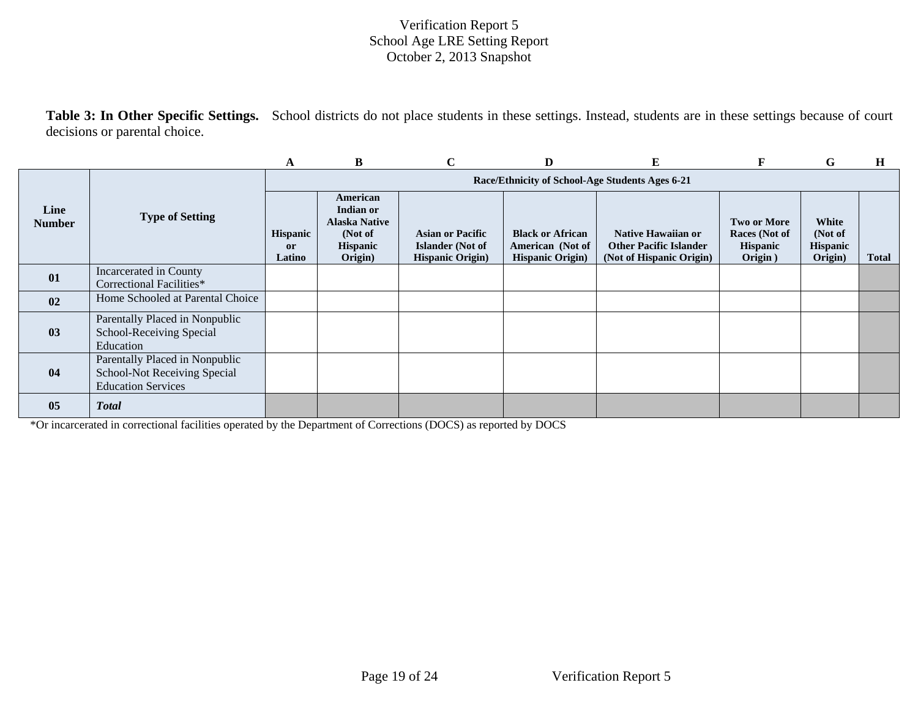**Table 3: In Other Specific Settings.** School districts do not place students in these settings. Instead, students are in these settings because of court decisions or parental choice.

|                       |                                                                                             | A                               | B                                                                                      | C                                                                              | D                                                                      | E                                                                                      | F                                                                 | G                                              | H            |
|-----------------------|---------------------------------------------------------------------------------------------|---------------------------------|----------------------------------------------------------------------------------------|--------------------------------------------------------------------------------|------------------------------------------------------------------------|----------------------------------------------------------------------------------------|-------------------------------------------------------------------|------------------------------------------------|--------------|
|                       |                                                                                             |                                 |                                                                                        |                                                                                |                                                                        | Race/Ethnicity of School-Age Students Ages 6-21                                        |                                                                   |                                                |              |
| Line<br><b>Number</b> | <b>Type of Setting</b>                                                                      | <b>Hispanic</b><br>or<br>Latino | American<br>Indian or<br><b>Alaska Native</b><br>(Not of<br><b>Hispanic</b><br>Origin) | <b>Asian or Pacific</b><br><b>Islander</b> (Not of<br><b>Hispanic Origin</b> ) | <b>Black or African</b><br>American (Not of<br><b>Hispanic Origin)</b> | <b>Native Hawaiian or</b><br><b>Other Pacific Islander</b><br>(Not of Hispanic Origin) | <b>Two or More</b><br><b>Races</b> (Not of<br>Hispanic<br>Origin) | White<br>(Not of<br><b>Hispanic</b><br>Origin) | <b>Total</b> |
| 01                    | Incarcerated in County<br>Correctional Facilities*                                          |                                 |                                                                                        |                                                                                |                                                                        |                                                                                        |                                                                   |                                                |              |
| 02                    | Home Schooled at Parental Choice                                                            |                                 |                                                                                        |                                                                                |                                                                        |                                                                                        |                                                                   |                                                |              |
| 03                    | Parentally Placed in Nonpublic<br>School-Receiving Special<br>Education                     |                                 |                                                                                        |                                                                                |                                                                        |                                                                                        |                                                                   |                                                |              |
| 04                    | Parentally Placed in Nonpublic<br>School-Not Receiving Special<br><b>Education Services</b> |                                 |                                                                                        |                                                                                |                                                                        |                                                                                        |                                                                   |                                                |              |
| 05                    | <b>Total</b>                                                                                |                                 |                                                                                        |                                                                                |                                                                        |                                                                                        |                                                                   |                                                |              |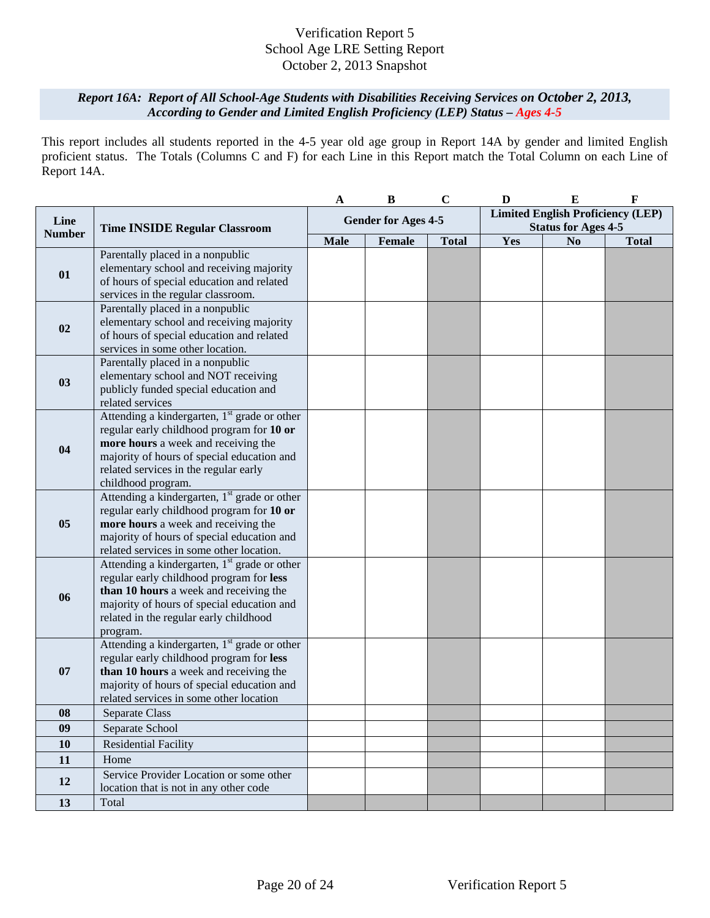## *Report 16A: Report of All School-Age Students with Disabilities Receiving Services on October 2, 2013, According to Gender and Limited English Proficiency (LEP) Status – Ages 4-5*

This report includes all students reported in the 4-5 year old age group in Report 14A by gender and limited English proficient status. The Totals (Columns C and F) for each Line in this Report match the Total Column on each Line of Report 14A.

|               |                                                                                                                                                                                                                                                 | A                          | $\bf{B}$ | $\mathbf C$  | D                                                                      | ${\bf E}$      | $\mathbf F$  |
|---------------|-------------------------------------------------------------------------------------------------------------------------------------------------------------------------------------------------------------------------------------------------|----------------------------|----------|--------------|------------------------------------------------------------------------|----------------|--------------|
| Line          | <b>Time INSIDE Regular Classroom</b>                                                                                                                                                                                                            | <b>Gender for Ages 4-5</b> |          |              | <b>Limited English Proficiency (LEP)</b><br><b>Status for Ages 4-5</b> |                |              |
| <b>Number</b> |                                                                                                                                                                                                                                                 | <b>Male</b>                | Female   | <b>Total</b> | Yes                                                                    | N <sub>0</sub> | <b>Total</b> |
| 01            | Parentally placed in a nonpublic<br>elementary school and receiving majority<br>of hours of special education and related<br>services in the regular classroom.                                                                                 |                            |          |              |                                                                        |                |              |
| 02            | Parentally placed in a nonpublic<br>elementary school and receiving majority<br>of hours of special education and related<br>services in some other location.                                                                                   |                            |          |              |                                                                        |                |              |
| 03            | Parentally placed in a nonpublic<br>elementary school and NOT receiving<br>publicly funded special education and<br>related services                                                                                                            |                            |          |              |                                                                        |                |              |
| 04            | Attending a kindergarten, $1st$ grade or other<br>regular early childhood program for 10 or<br>more hours a week and receiving the<br>majority of hours of special education and<br>related services in the regular early<br>childhood program. |                            |          |              |                                                                        |                |              |
| 05            | Attending a kindergarten, 1 <sup>st</sup> grade or other<br>regular early childhood program for 10 or<br>more hours a week and receiving the<br>majority of hours of special education and<br>related services in some other location.          |                            |          |              |                                                                        |                |              |
| 06            | Attending a kindergarten, $1st$ grade or other<br>regular early childhood program for less<br>than 10 hours a week and receiving the<br>majority of hours of special education and<br>related in the regular early childhood<br>program.        |                            |          |              |                                                                        |                |              |
| 07            | Attending a kindergarten, 1 <sup>st</sup> grade or other<br>regular early childhood program for less<br>than 10 hours a week and receiving the<br>majority of hours of special education and<br>related services in some other location         |                            |          |              |                                                                        |                |              |
| 08            | Separate Class                                                                                                                                                                                                                                  |                            |          |              |                                                                        |                |              |
| 09            | Separate School                                                                                                                                                                                                                                 |                            |          |              |                                                                        |                |              |
| 10            | <b>Residential Facility</b>                                                                                                                                                                                                                     |                            |          |              |                                                                        |                |              |
| 11            | Home                                                                                                                                                                                                                                            |                            |          |              |                                                                        |                |              |
| 12            | Service Provider Location or some other<br>location that is not in any other code                                                                                                                                                               |                            |          |              |                                                                        |                |              |
| 13            | Total                                                                                                                                                                                                                                           |                            |          |              |                                                                        |                |              |